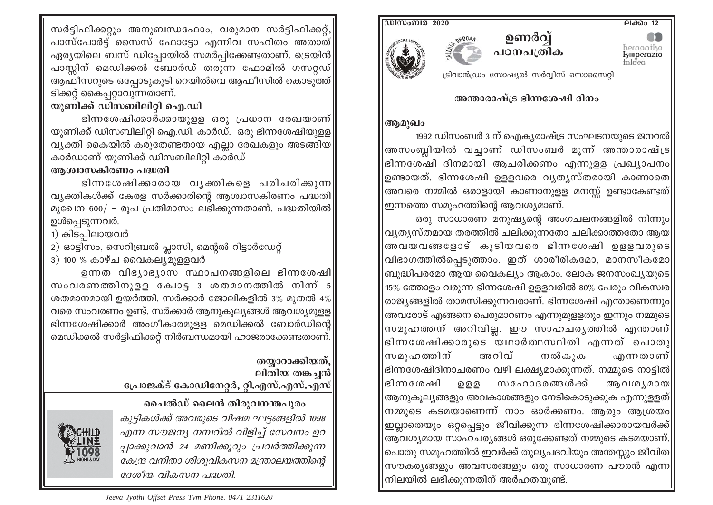ലക്കം  $12$ 



ട്രിവാൻഡ്രം സോഷ്യൽ സർവ്വീസ് സൊസൈറ്റി



<u>ഡിസംബർ 2020</u>

അന്താരാഷ്ട്ര ഭിന്നശേഷി ദിനം

## ആമുഖം

1992 ഡിസംബർ 3 ന് ഐക്യരാഷ്ട്ര സംഘടനയുടെ ജനറൽ $\parallel$ അസംബ്ലിയിൽ വച്ചാണ് ഡിസംബർ മൂന്ന് അന്താരാഷ്ട്ര $\parallel$ ഭിന്നശേഷി ദിനമായി ആചരിക്കണം എന്നുളള പ്രഖ്യാപനം| ഉണ്ടായത്. ഭിന്നശേഷി ഉളളവരെ വ്യത്യസ്തരായി കാണാതെ $\parallel$ അവരെ നമ്മിൽ ഒരാളായി കാണാനുളള മനസ്സ് ഉണ്ടാകേണ്ടത്| ഇന്നത്തെ സമൂഹത്തിന്റെ ആവശ്യമാണ്.

ഒരു സാധാരണ മനുഷ്യന്റെ അംഗചലനങ്ങളിൽ നിന്നും|| വ്യത്യസ്തമായ തരത്തിൽ ചലിക്കുന്നതോ ചലിക്കാത്തതോ ആയ $\parallel$ അവയവങ്ങളോട് കൂടിയവരെ ഭിന്നശേഷി ഉളളവരുടെ|| വിഭാഗത്തിൽപെടുത്താം. ഇത് ശാരീരികമോ, മാനസീകമോ $||$ ബുദ്ധിപരമോ ആയ വൈകല്യം ആകാം. ലോക ജനസംഖ്യയുടെ|| 15% ത്തോളം വരുന്ന ഭിന്നശേഷി ഉള്ളവരിൽ 80% പേരും വികസ്വര $\parallel$ രാജ്യങ്ങളിൽ താമസിക്കുന്നവരാണ്. ഭിന്നശേഷി എന്താണെന്നും|| അവരോട് എങ്ങനെ പെരുമാറണം എന്നുമുള്ളതും ഇന്നും നമ്മുടെ|| സമൂഹത്തന് അറിവില്ല. ഈ സാഹചര്യത്തിൽ എന്താണ് $|$ ഭിന്നശേഷിക്കാരുടെ യഥാർത്ഥസ്ഥിതി എന്നത് പൊതു സമുഹത്തിന് അറിവ് എന്നതാണ്| നൽകുക ഭിന്നശേഷിദിനാചരണം വഴി ലക്ഷ്യമാക്കുന്നത്. നമ്മുടെ നാട്ടിൽ $\parallel$ സഹോദരങ്ങൾക്ക് ഭിന്നശേഷി ഉളള ആവശ**്യമായ**| ആനുകൂല്യങ്ങളും അവകാശങ്ങളും നേടികൊടുക്കുക എന്നുള്ളത്| നമ്മുടെ കടമയാണെന്ന് നാം ഓർക്കണം. ആരും ആശ്രയം ഇല്ലാതെയും ഒറ്റപ്പെട്ടും ജീവിക്കുന്ന ഭിന്നശേഷിക്കാരായവർക്ക്| ആവശ്യമായ സാഹചര്യങ്ങൾ ഒരുക്കേണ്ടത് നമ്മുടെ കടമയാണ്. പൊതു സമൂഹത്തിൽ ഇവർക്ക് തുല്യപദവിയും അന്തസ്സും ജീവിത $\parallel$ സൗകര്യങ്ങളും അവസരങ്ങളും ഒരു സാധാരണ പൗരൻ എന്ന $\parallel$ നിലയിൽ ലഭിക്കുന്നതിന് അർഹതയുണ്ട്.

സർട്ടിഫിക്കറ്റും അനുബന്ധഫോം, വരുമാന സർട്ടിഫിക്കറ്റ്, പാസ്പോർട്ട് സൈസ് ഫോടോ എന്നിവ സഹിതം അതാത് ഏര്യയിലെ ബസ് ഡിപ്പോയിൽ സമർപ്പിക്കേണ്ടതാണ്. ട്രെയിൻ പാസ്സിന് മെഡിക്കൽ ബോർഡ് തരുന്ന ഫോമിൽ ഗസറ്റഡ് ആഫീസറുടെ ഒപ്പോടുകുടി റെയിൽവെ ആഫീസിൽ കൊടുത്ത് ടിക്കറ്റ് കൈപ്പറ്റാവുന്നതാണ്.

## യുണിക്ക് ഡിസബിലിറ്റി ഐ.ഡി

ഭിന്നശേഷിക്കാർക്കായുള്ള ഒരു പ്രധാന രേഖയാണ് $\vert$ യുണിക്ക് ഡിസബിലിറ്റി ഐ.ഡി. കാർഡ്. ഒരു ഭിന്നശേഷിയുളള വ്യക്തി കൈയിൽ കരുതേണ്ടതായ എല്ലാ രേഖകളും അടങ്ങിയ കാർഡാണ് യുണിക്ക് ഡിസബിലിറ്റി കാർഡ്

## അശ്വാസകിരണം പദ്ധതി

ഭിന്നശേഷിക്കാരായ വൃക്തികളെ പരിചരിക്കുന്ന വ്യക്തികൾക്ക് കേരള സർക്കാരിന്റെ ആശ്വാസകിരണം പദ്ധതി മുഖേന 600/ - രൂപ പ്രതിമാസം ലഭിക്കുന്നതാണ്. പദ്ധതിയിൽ ഉൾപെടുന്നവർ.

- 1) കിടപിലായവർ
- 2) ഓട്ടിസം, സെറിബ്രൽ പ്ലാസി, മെന്റൽ റിട്ടാർഡേറ്റ്
- 3) 100 % കാഴ്ച വൈകല്യമുള്ളവർ

ഉന്നത വിഭ്യാഭ്യാസ സ്ഥാപനങ്ങളിലെ ഭിന്നശേഷി $\mid$ സംവരണത്തിനുളള കോട്ട 3 ശതമാനത്തിൽ നിന്ന് 5 ശതമാനമായി ഉയർത്തി. സർക്കാർ ജോലികളിൽ 3% മുതൽ 4% വരെ സംവരണം ഉണ്ട്. സർക്കാർ ആനുകൂല്യങ്ങൾ ആവശ്യമുള്ള ഭിന്നശേഷിക്കാർ അംഗീകാരമുളള മെഡിക്കൽ ബോർഡിന്റെ മെഡിക്കൽ സർട്ടിഫിക്കറ്റ് നിർബന്ധമായി ഹാജരാക്കേണ്ടതാണ്.

## തയാറാക്കിയത്. ലിതിയ തങ്കച്ചൻ പ്രോജക്ട് കോഡിനേറ്റർ, റ്റി.എസ്.എസ്.എസ്

ചൈൽഡ് ലൈൻ തിരുവനന്തപുരം കുട്ടികൾക്ക് അവരുടെ വിഷമ ഘട്ടങ്ങളിൽ 1098 എന്ന സൗജന്യ നമ്പറിൽ വിളിച്ച് സേവനം ഉറ പ്പാക്കുവാൻ 24 മണിക്കുറും പ്രവർത്തിക്കുന്ന കേന്ദ്ര വനിതാ ശിശുവികസന മന്ത്രാലയത്തിന്റെ ദേശീയ വികസന പദ്ധതി.